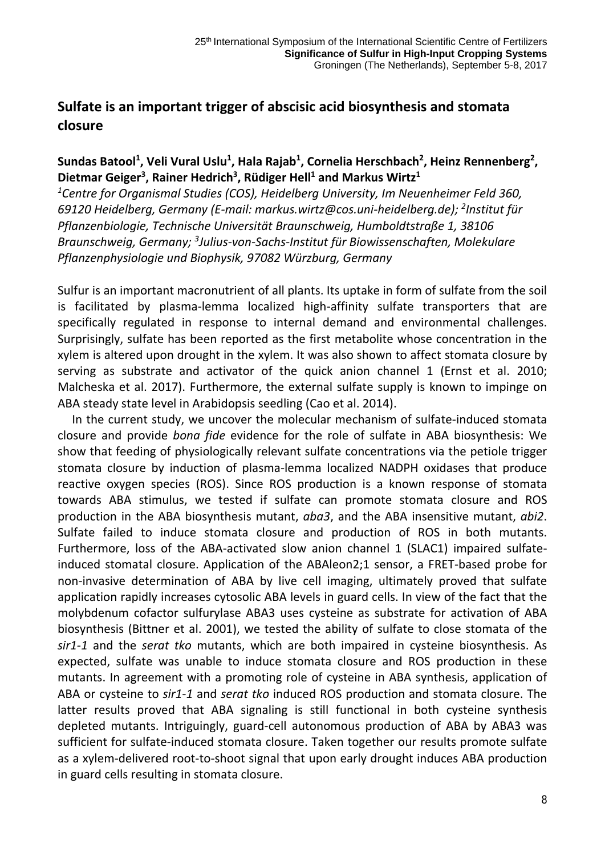## **Sulfate is an important trigger of abscisic acid biosynthesis and stomata closure**

## Sundas Batool<sup>1</sup>, Veli Vural Uslu<sup>1</sup>, Hala Rajab<sup>1</sup>, Cornelia Herschbach<sup>2</sup>, Heinz Rennenberg<sup>2</sup>, **Dietmar Geiger3 , Rainer Hedrich3 , Rüdiger Hell1 and Markus Wirtz1**

*1 Centre for Organismal Studies (COS), Heidelberg University, Im Neuenheimer Feld 360, 69120 Heidelberg, Germany (E-mail: markus.wirtz@cos.uni-heidelberg.de); 2 Institut für Pflanzenbiologie, Technische Universität Braunschweig, Humboldtstraße 1, 38106 Braunschweig, Germany; 3 Julius-von-Sachs-Institut für Biowissenschaften, Molekulare Pflanzenphysiologie und Biophysik, 97082 Würzburg, Germany*

Sulfur is an important macronutrient of all plants. Its uptake in form of sulfate from the soil is facilitated by plasma-lemma localized high-affinity sulfate transporters that are specifically regulated in response to internal demand and environmental challenges. Surprisingly, sulfate has been reported as the first metabolite whose concentration in the xylem is altered upon drought in the xylem. It was also shown to affect stomata closure by serving as substrate and activator of the quick anion channel 1 (Ernst et al. 2010; Malcheska et al. 2017). Furthermore, the external sulfate supply is known to impinge on ABA steady state level in Arabidopsis seedling (Cao et al. 2014).

In the current study, we uncover the molecular mechanism of sulfate-induced stomata closure and provide *bona fide* evidence for the role of sulfate in ABA biosynthesis: We show that feeding of physiologically relevant sulfate concentrations via the petiole trigger stomata closure by induction of plasma-lemma localized NADPH oxidases that produce reactive oxygen species (ROS). Since ROS production is a known response of stomata towards ABA stimulus, we tested if sulfate can promote stomata closure and ROS production in the ABA biosynthesis mutant, *aba3*, and the ABA insensitive mutant, *abi2*. Sulfate failed to induce stomata closure and production of ROS in both mutants. Furthermore, loss of the ABA-activated slow anion channel 1 (SLAC1) impaired sulfateinduced stomatal closure. Application of the ABAleon2;1 sensor, a FRET-based probe for non-invasive determination of ABA by live cell imaging, ultimately proved that sulfate application rapidly increases cytosolic ABA levels in guard cells. In view of the fact that the molybdenum cofactor sulfurylase ABA3 uses cysteine as substrate for activation of ABA biosynthesis (Bittner et al. 2001), we tested the ability of sulfate to close stomata of the *sir1-1* and the *serat tko* mutants, which are both impaired in cysteine biosynthesis. As expected, sulfate was unable to induce stomata closure and ROS production in these mutants. In agreement with a promoting role of cysteine in ABA synthesis, application of ABA or cysteine to *sir1-1* and *serat tko* induced ROS production and stomata closure. The latter results proved that ABA signaling is still functional in both cysteine synthesis depleted mutants. Intriguingly, guard-cell autonomous production of ABA by ABA3 was sufficient for sulfate-induced stomata closure. Taken together our results promote sulfate as a xylem-delivered root-to-shoot signal that upon early drought induces ABA production in guard cells resulting in stomata closure.